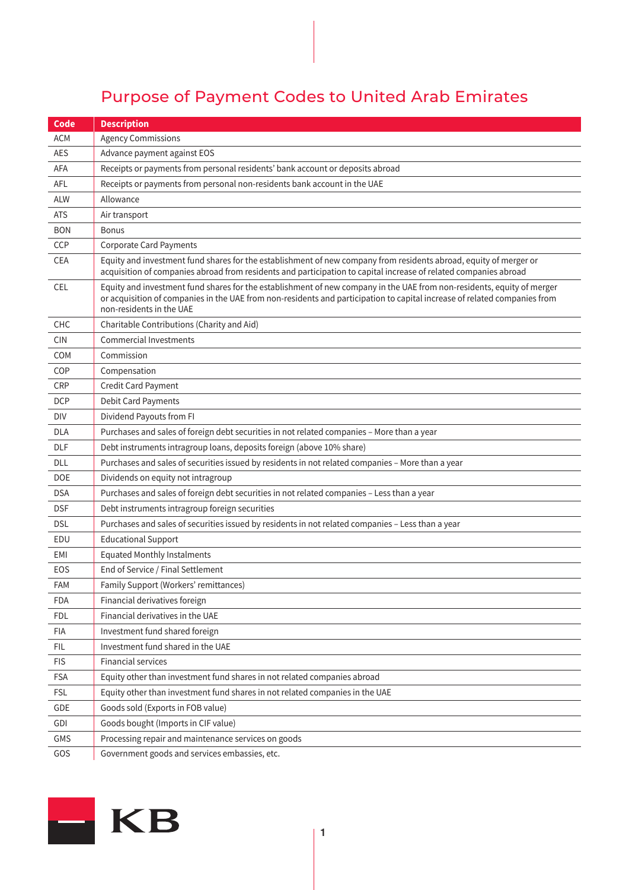## Purpose of Payment Codes to United Arab Emirates

| Code       | <b>Description</b>                                                                                                                                                                                                                                                              |
|------------|---------------------------------------------------------------------------------------------------------------------------------------------------------------------------------------------------------------------------------------------------------------------------------|
| <b>ACM</b> | <b>Agency Commissions</b>                                                                                                                                                                                                                                                       |
| <b>AES</b> | Advance payment against EOS                                                                                                                                                                                                                                                     |
| AFA        | Receipts or payments from personal residents' bank account or deposits abroad                                                                                                                                                                                                   |
| <b>AFL</b> | Receipts or payments from personal non-residents bank account in the UAE                                                                                                                                                                                                        |
| <b>ALW</b> | Allowance                                                                                                                                                                                                                                                                       |
| <b>ATS</b> | Air transport                                                                                                                                                                                                                                                                   |
| <b>BON</b> | <b>Bonus</b>                                                                                                                                                                                                                                                                    |
| CCP        | <b>Corporate Card Payments</b>                                                                                                                                                                                                                                                  |
| CEA        | Equity and investment fund shares for the establishment of new company from residents abroad, equity of merger or<br>acquisition of companies abroad from residents and participation to capital increase of related companies abroad                                           |
| <b>CEL</b> | Equity and investment fund shares for the establishment of new company in the UAE from non-residents, equity of merger<br>or acquisition of companies in the UAE from non-residents and participation to capital increase of related companies from<br>non-residents in the UAE |
| CHC        | Charitable Contributions (Charity and Aid)                                                                                                                                                                                                                                      |
| <b>CIN</b> | <b>Commercial Investments</b>                                                                                                                                                                                                                                                   |
| <b>COM</b> | Commission                                                                                                                                                                                                                                                                      |
| COP        | Compensation                                                                                                                                                                                                                                                                    |
| <b>CRP</b> | Credit Card Payment                                                                                                                                                                                                                                                             |
| <b>DCP</b> | Debit Card Payments                                                                                                                                                                                                                                                             |
| DIV        | Dividend Payouts from FI                                                                                                                                                                                                                                                        |
| <b>DLA</b> | Purchases and sales of foreign debt securities in not related companies - More than a year                                                                                                                                                                                      |
| <b>DLF</b> | Debt instruments intragroup loans, deposits foreign (above 10% share)                                                                                                                                                                                                           |
| DLL        | Purchases and sales of securities issued by residents in not related companies - More than a year                                                                                                                                                                               |
| DOE        | Dividends on equity not intragroup                                                                                                                                                                                                                                              |
| <b>DSA</b> | Purchases and sales of foreign debt securities in not related companies - Less than a year                                                                                                                                                                                      |
| <b>DSF</b> | Debt instruments intragroup foreign securities                                                                                                                                                                                                                                  |
| <b>DSL</b> | Purchases and sales of securities issued by residents in not related companies - Less than a year                                                                                                                                                                               |
| EDU        | <b>Educational Support</b>                                                                                                                                                                                                                                                      |
| EMI        | <b>Equated Monthly Instalments</b>                                                                                                                                                                                                                                              |
| EOS        | End of Service / Final Settlement                                                                                                                                                                                                                                               |
| <b>FAM</b> | Family Support (Workers' remittances)                                                                                                                                                                                                                                           |
| <b>FDA</b> | Financial derivatives foreign                                                                                                                                                                                                                                                   |
| <b>FDL</b> | Financial derivatives in the UAE                                                                                                                                                                                                                                                |
| <b>FIA</b> | Investment fund shared foreign                                                                                                                                                                                                                                                  |
| FIL.       | Investment fund shared in the UAE                                                                                                                                                                                                                                               |
| <b>FIS</b> | <b>Financial services</b>                                                                                                                                                                                                                                                       |
| <b>FSA</b> | Equity other than investment fund shares in not related companies abroad                                                                                                                                                                                                        |
| <b>FSL</b> | Equity other than investment fund shares in not related companies in the UAE                                                                                                                                                                                                    |
| GDE        | Goods sold (Exports in FOB value)                                                                                                                                                                                                                                               |
| GDI        | Goods bought (Imports in CIF value)                                                                                                                                                                                                                                             |
| GMS        | Processing repair and maintenance services on goods                                                                                                                                                                                                                             |
| GOS        | Government goods and services embassies, etc.                                                                                                                                                                                                                                   |

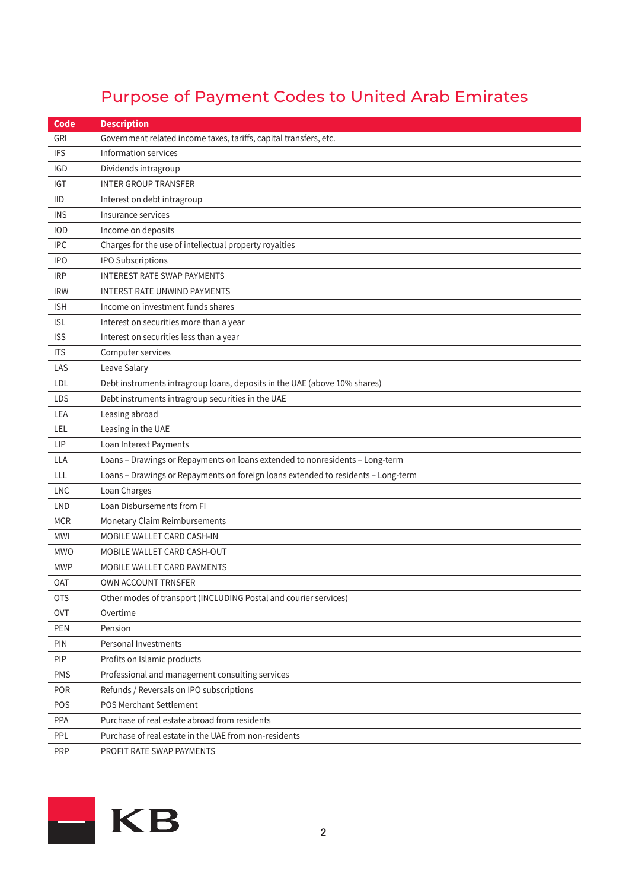## Purpose of Payment Codes to United Arab Emirates

| Code       | <b>Description</b>                                                                |
|------------|-----------------------------------------------------------------------------------|
| <b>GRI</b> | Government related income taxes, tariffs, capital transfers, etc.                 |
| <b>IFS</b> | Information services                                                              |
| <b>IGD</b> | Dividends intragroup                                                              |
| <b>IGT</b> | <b>INTER GROUP TRANSFER</b>                                                       |
| <b>IID</b> | Interest on debt intragroup                                                       |
| <b>INS</b> | Insurance services                                                                |
| <b>IOD</b> | Income on deposits                                                                |
| <b>IPC</b> | Charges for the use of intellectual property royalties                            |
| <b>IPO</b> | <b>IPO Subscriptions</b>                                                          |
| <b>IRP</b> | <b>INTEREST RATE SWAP PAYMENTS</b>                                                |
| <b>IRW</b> | <b>INTERST RATE UNWIND PAYMENTS</b>                                               |
| <b>ISH</b> | Income on investment funds shares                                                 |
| <b>ISL</b> | Interest on securities more than a year                                           |
| <b>ISS</b> | Interest on securities less than a year                                           |
| <b>ITS</b> | Computer services                                                                 |
| LAS        | Leave Salary                                                                      |
| LDL        | Debt instruments intragroup loans, deposits in the UAE (above 10% shares)         |
| <b>LDS</b> | Debt instruments intragroup securities in the UAE                                 |
| <b>LEA</b> | Leasing abroad                                                                    |
| LEL        | Leasing in the UAE                                                                |
| <b>LIP</b> | Loan Interest Payments                                                            |
| <b>LLA</b> | Loans - Drawings or Repayments on loans extended to nonresidents - Long-term      |
| LLL        | Loans - Drawings or Repayments on foreign loans extended to residents - Long-term |
| <b>LNC</b> | Loan Charges                                                                      |
| LND        | Loan Disbursements from FI                                                        |
| <b>MCR</b> | Monetary Claim Reimbursements                                                     |
| <b>MWI</b> | MOBILE WALLET CARD CASH-IN                                                        |
| <b>MWO</b> | MOBILE WALLET CARD CASH-OUT                                                       |
| <b>MWP</b> | MOBILE WALLET CARD PAYMENTS                                                       |
| <b>OAT</b> | OWN ACCOUNT TRNSFER                                                               |
| <b>OTS</b> | Other modes of transport (INCLUDING Postal and courier services)                  |
| <b>OVT</b> | Overtime                                                                          |
| PEN        | Pension                                                                           |
| PIN        | Personal Investments                                                              |
| PIP        | Profits on Islamic products                                                       |
| <b>PMS</b> | Professional and management consulting services                                   |
| POR        | Refunds / Reversals on IPO subscriptions                                          |
| POS        | POS Merchant Settlement                                                           |
| PPA        | Purchase of real estate abroad from residents                                     |
| PPL        | Purchase of real estate in the UAE from non-residents                             |
| <b>PRP</b> | PROFIT RATE SWAP PAYMENTS                                                         |